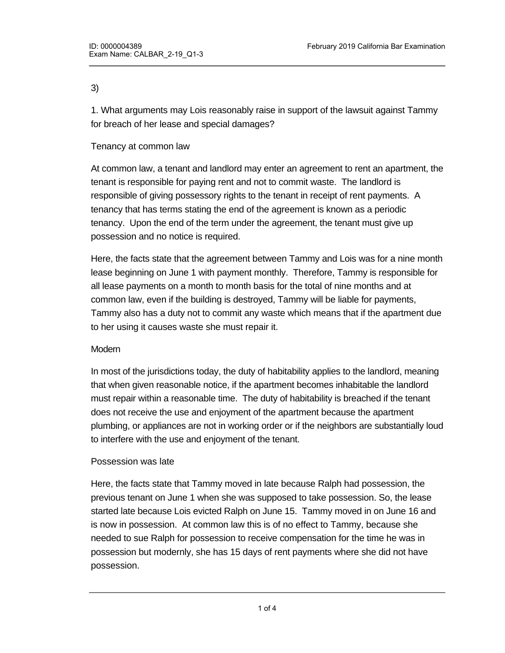## 3)

1. What arguments may Lois reasonably raise in support of the lawsuit against Tammy for breach of her lease and special damages?

# Tenancy at common law

At common law, a tenant and landlord may enter an agreement to rent an apartment, the tenant is responsible for paying rent and not to commit waste. The landlord is responsible of giving possessory rights to the tenant in receipt of rent payments. A tenancy that has terms stating the end of the agreement is known as a periodic tenancy. Upon the end of the term under the agreement, the tenant must give up possession and no notice is required.

Here, the facts state that the agreement between Tammy and Lois was for a nine month lease beginning on June 1 with payment monthly. Therefore, Tammy is responsible for all lease payments on a month to month basis for the total of nine months and at common law, even if the building is destroyed, Tammy will be liable for payments, Tammy also has a duty not to commit any waste which means that if the apartment due to her using it causes waste she must repair it.

## **Modern**

In most of the jurisdictions today, the duty of habitability applies to the landlord, meaning that when given reasonable notice, if the apartment becomes inhabitable the landlord must repair within a reasonable time. The duty of habitability is breached if the tenant does not receive the use and enjoyment of the apartment because the apartment plumbing, or appliances are not in working order or if the neighbors are substantially loud to interfere with the use and enjoyment of the tenant.

## Possession was late

Here, the facts state that Tammy moved in late because Ralph had possession, the previous tenant on June 1 when she was supposed to take possession. So, the lease started late because Lois evicted Ralph on June 15. Tammy moved in on June 16 and is now in possession. At common law this is of no effect to Tammy, because she needed to sue Ralph for possession to receive compensation for the time he was in possession but modernly, she has 15 days of rent payments where she did not have possession.

Therefore, Tammy has 15 days of  $\sigma$  and  $\sigma$  and  $\sigma$  and  $\sigma$  rent which in a modern jurisdiction sheet in a modern jurisdiction sheet in a model of  $\sigma$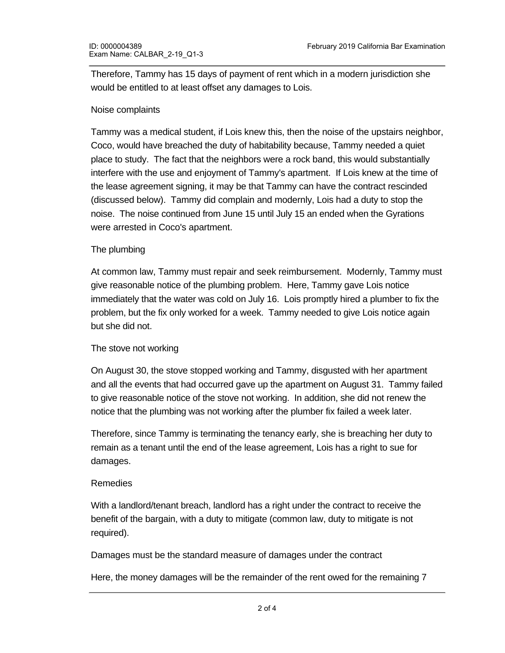Therefore, Tammy has 15 days of payment of rent which in a modern jurisdiction she would be entitled to at least offset any damages to Lois.

#### Noise complaints

Tammy was a medical student, if Lois knew this, then the noise of the upstairs neighbor, Coco, would have breached the duty of habitability because, Tammy needed a quiet place to study. The fact that the neighbors were a rock band, this would substantially interfere with the use and enjoyment of Tammy's apartment. If Lois knew at the time of the lease agreement signing, it may be that Tammy can have the contract rescinded (discussed below). Tammy did complain and modernly, Lois had a duty to stop the noise. The noise continued from June 15 until July 15 an ended when the Gyrations were arrested in Coco's apartment.

## The plumbing

At common law, Tammy must repair and seek reimbursement. Modernly, Tammy must give reasonable notice of the plumbing problem. Here, Tammy gave Lois notice immediately that the water was cold on July 16. Lois promptly hired a plumber to fix the problem, but the fix only worked for a week. Tammy needed to give Lois notice again but she did not.

## The stove not working

On August 30, the stove stopped working and Tammy, disgusted with her apartment and all the events that had occurred gave up the apartment on August 31. Tammy failed to give reasonable notice of the stove not working. In addition, she did not renew the notice that the plumbing was not working after the plumber fix failed a week later.

Therefore, since Tammy is terminating the tenancy early, she is breaching her duty to remain as a tenant until the end of the lease agreement, Lois has a right to sue for damages.

#### Remedies

With a landlord/tenant breach, landlord has a right under the contract to receive the benefit of the bargain, with a duty to mitigate (common law, duty to mitigate is not required).

Damages must be the standard measure of damages under the contract

Here, the money damages will be the remainder of the rent owed for the remaining 7

months on the lease agreement, since the lease started in June and was for nine and was for nine and was for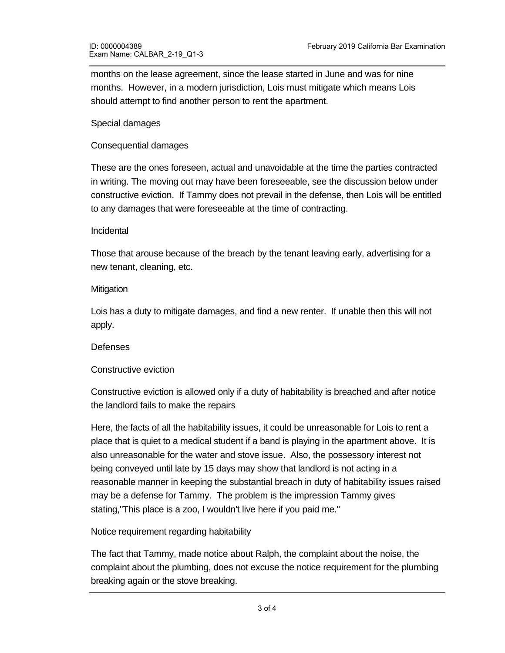months on the lease agreement, since the lease started in June and was for nine months. However, in a modern jurisdiction, Lois must mitigate which means Lois should attempt to find another person to rent the apartment.

Special damages

## Consequential damages

These are the ones foreseen, actual and unavoidable at the time the parties contracted in writing. The moving out may have been foreseeable, see the discussion below under constructive eviction. If Tammy does not prevail in the defense, then Lois will be entitled to any damages that were foreseeable at the time of contracting.

#### Incidental

Those that arouse because of the breach by the tenant leaving early, advertising for a new tenant, cleaning, etc.

#### **Mitigation**

Lois has a duty to mitigate damages, and find a new renter. If unable then this will not apply.

#### Defenses

## Constructive eviction

Constructive eviction is allowed only if a duty of habitability is breached and after notice the landlord fails to make the repairs

Here, the facts of all the habitability issues, it could be unreasonable for Lois to rent a place that is quiet to a medical student if a band is playing in the apartment above. It is also unreasonable for the water and stove issue. Also, the possessory interest not being conveyed until late by 15 days may show that landlord is not acting in a reasonable manner in keeping the substantial breach in duty of habitability issues raised may be a defense for Tammy. The problem is the impression Tammy gives stating,"This place is a zoo, I wouldn't live here if you paid me."

## Notice requirement regarding habitability

The fact that Tammy, made notice about Ralph, the complaint about the noise, the complaint about the plumbing, does not excuse the notice requirement for the plumbing breaking again or the stove breaking.